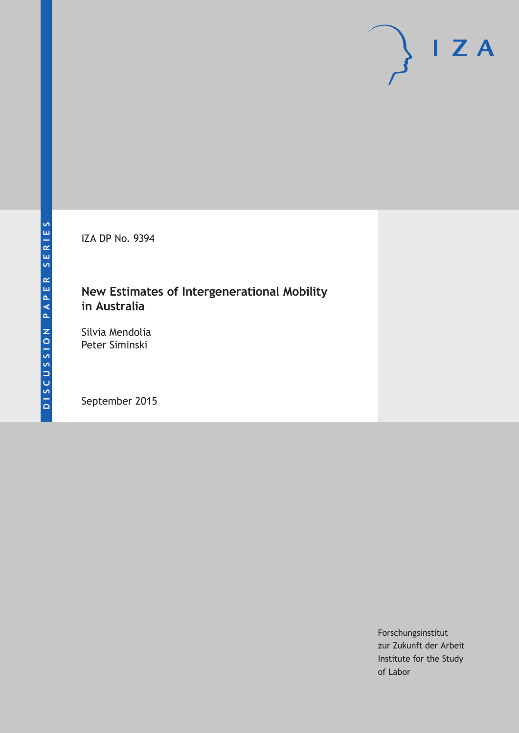IZA DP No. 9394

### **New Estimates of Intergenerational Mobility in Australia**

Silvia Mendolia Peter Siminski

September 2015

Forschungsinstitut zur Zukunft der Arbeit Institute for the Study of Labor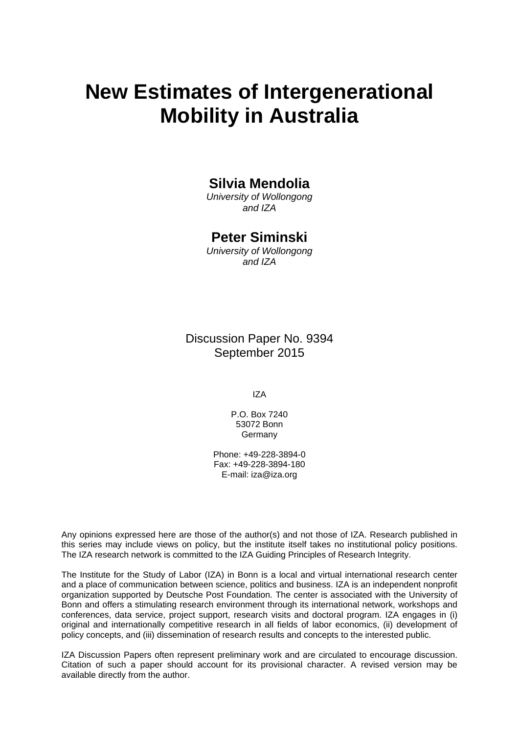# **New Estimates of Intergenerational Mobility in Australia**

### **Silvia Mendolia**

*University of Wollongong and IZA* 

### **Peter Siminski**

*University of Wollongong and IZA* 

Discussion Paper No. 9394 September 2015

IZA

P.O. Box 7240 53072 Bonn Germany

Phone: +49-228-3894-0 Fax: +49-228-3894-180 E-mail: iza@iza.org

Any opinions expressed here are those of the author(s) and not those of IZA. Research published in this series may include views on policy, but the institute itself takes no institutional policy positions. The IZA research network is committed to the IZA Guiding Principles of Research Integrity.

The Institute for the Study of Labor (IZA) in Bonn is a local and virtual international research center and a place of communication between science, politics and business. IZA is an independent nonprofit organization supported by Deutsche Post Foundation. The center is associated with the University of Bonn and offers a stimulating research environment through its international network, workshops and conferences, data service, project support, research visits and doctoral program. IZA engages in (i) original and internationally competitive research in all fields of labor economics, (ii) development of policy concepts, and (iii) dissemination of research results and concepts to the interested public.

IZA Discussion Papers often represent preliminary work and are circulated to encourage discussion. Citation of such a paper should account for its provisional character. A revised version may be available directly from the author.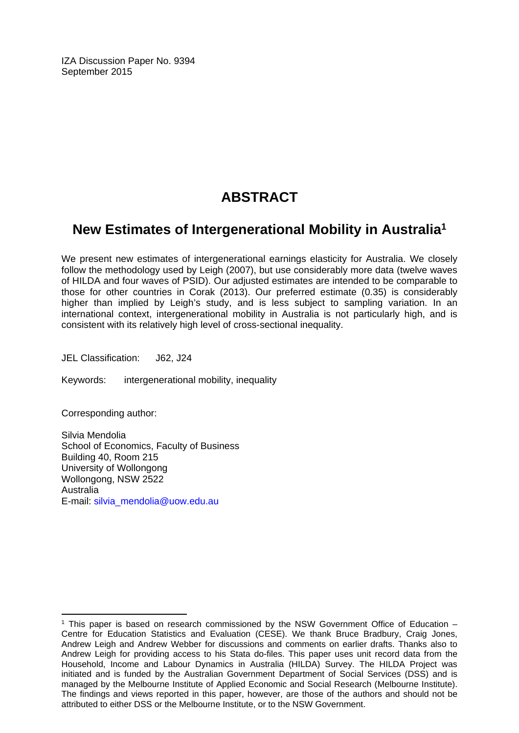IZA Discussion Paper No. 9394 September 2015

## **ABSTRACT**

### **New Estimates of Intergenerational Mobility in Australia1**

We present new estimates of intergenerational earnings elasticity for Australia. We closely follow the methodology used by Leigh (2007), but use considerably more data (twelve waves of HILDA and four waves of PSID). Our adjusted estimates are intended to be comparable to those for other countries in Corak (2013). Our preferred estimate (0.35) is considerably higher than implied by Leigh's study, and is less subject to sampling variation. In an international context, intergenerational mobility in Australia is not particularly high, and is consistent with its relatively high level of cross-sectional inequality.

JEL Classification: J62, J24

Keywords: intergenerational mobility, inequality

Corresponding author:

 $\overline{a}$ 

Silvia Mendolia School of Economics, Faculty of Business Building 40, Room 215 University of Wollongong Wollongong, NSW 2522 Australia E-mail: silvia\_mendolia@uow.edu.au

 $1$  This paper is based on research commissioned by the NSW Government Office of Education  $-$ Centre for Education Statistics and Evaluation (CESE). We thank Bruce Bradbury, Craig Jones, Andrew Leigh and Andrew Webber for discussions and comments on earlier drafts. Thanks also to Andrew Leigh for providing access to his Stata do-files. This paper uses unit record data from the Household, Income and Labour Dynamics in Australia (HILDA) Survey. The HILDA Project was initiated and is funded by the Australian Government Department of Social Services (DSS) and is managed by the Melbourne Institute of Applied Economic and Social Research (Melbourne Institute). The findings and views reported in this paper, however, are those of the authors and should not be attributed to either DSS or the Melbourne Institute, or to the NSW Government.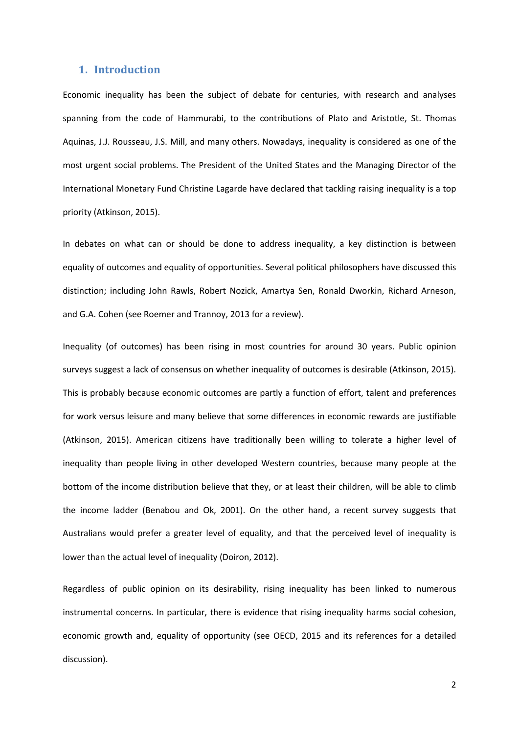#### **1. Introduction**

Economic inequality has been the subject of debate for centuries, with research and analyses spanning from the code of Hammurabi, to the contributions of Plato and Aristotle, St. Thomas Aquinas, J.J. Rousseau, J.S. Mill, and many others. Nowadays, inequality is considered as one of the most urgent social problems. The President of the United States and the Managing Director of the International Monetary Fund Christine Lagarde have declared that tackling raising inequality is a top priority (Atkinson, 2015).

In debates on what can or should be done to address inequality, a key distinction is between equality of outcomes and equality of opportunities. Several political philosophers have discussed this distinction; including John Rawls, Robert Nozick, Amartya Sen, Ronald Dworkin, Richard Arneson, and G.A. Cohen (see Roemer and Trannoy, 2013 for a review).

Inequality (of outcomes) has been rising in most countries for around 30 years. Public opinion surveys suggest a lack of consensus on whether inequality of outcomes is desirable (Atkinson, 2015). This is probably because economic outcomes are partly a function of effort, talent and preferences for work versus leisure and many believe that some differences in economic rewards are justifiable (Atkinson, 2015). American citizens have traditionally been willing to tolerate a higher level of inequality than people living in other developed Western countries, because many people at the bottom of the income distribution believe that they, or at least their children, will be able to climb the income ladder (Benabou and Ok, 2001). On the other hand, a recent survey suggests that Australians would prefer a greater level of equality, and that the perceived level of inequality is lower than the actual level of inequality (Doiron, 2012).

Regardless of public opinion on its desirability, rising inequality has been linked to numerous instrumental concerns. In particular, there is evidence that rising inequality harms social cohesion, economic growth and, equality of opportunity (see OECD, 2015 and its references for a detailed discussion).

2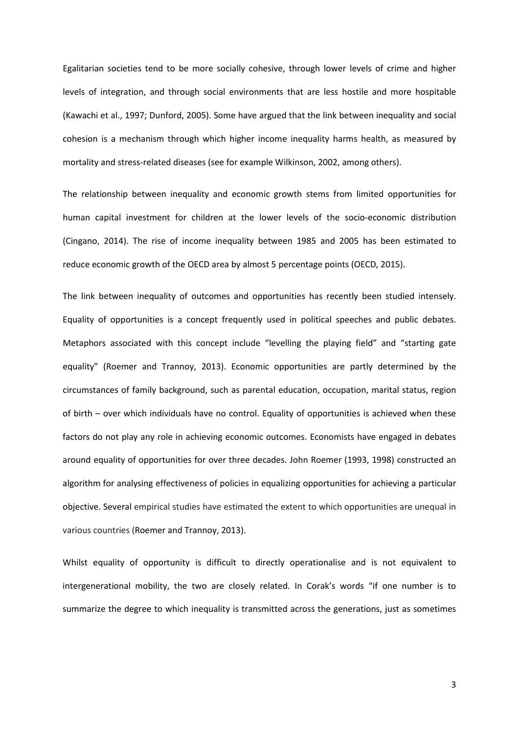Egalitarian societies tend to be more socially cohesive, through lower levels of crime and higher levels of integration, and through social environments that are less hostile and more hospitable (Kawachi et al., 1997; Dunford, 2005). Some have argued that the link between inequality and social cohesion is a mechanism through which higher income inequality harms health, as measured by mortality and stress-related diseases (see for example Wilkinson, 2002, among others).

The relationship between inequality and economic growth stems from limited opportunities for human capital investment for children at the lower levels of the socio-economic distribution (Cingano, 2014). The rise of income inequality between 1985 and 2005 has been estimated to reduce economic growth of the OECD area by almost 5 percentage points (OECD, 2015).

The link between inequality of outcomes and opportunities has recently been studied intensely. Equality of opportunities is a concept frequently used in political speeches and public debates. Metaphors associated with this concept include "levelling the playing field" and "starting gate equality" (Roemer and Trannoy, 2013). Economic opportunities are partly determined by the circumstances of family background, such as parental education, occupation, marital status, region of birth – over which individuals have no control. Equality of opportunities is achieved when these factors do not play any role in achieving economic outcomes. Economists have engaged in debates around equality of opportunities for over three decades. John Roemer (1993, 1998) constructed an algorithm for analysing effectiveness of policies in equalizing opportunities for achieving a particular objective. Several empirical studies have estimated the extent to which opportunities are unequal in various countries (Roemer and Trannoy, 2013).

Whilst equality of opportunity is difficult to directly operationalise and is not equivalent to intergenerational mobility, the two are closely related. In Corak's words "if one number is to summarize the degree to which inequality is transmitted across the generations, just as sometimes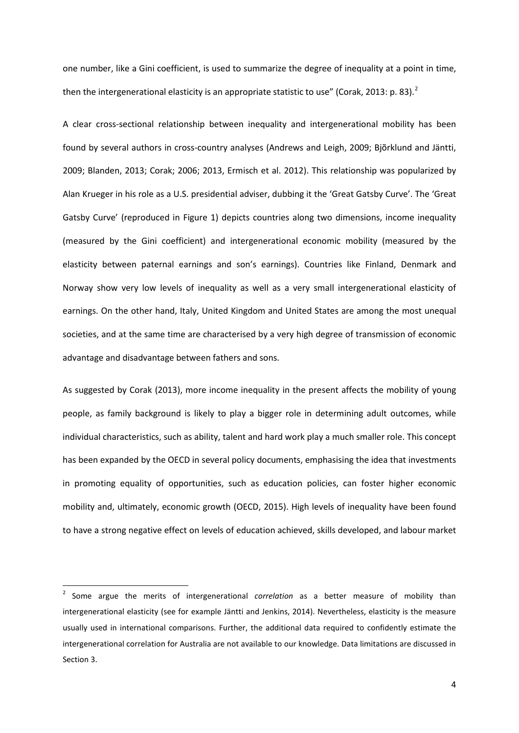one number, like a Gini coefficient, is used to summarize the degree of inequality at a point in time, then the intergenerational elasticity is an appropriate statistic to use" (Corak, 2013: p. 83).<sup>2</sup>

A clear cross-sectional relationship between inequality and intergenerational mobility has been found by several authors in cross-country analyses (Andrews and Leigh, 2009; Bjõrklund and Jäntti, 2009; Blanden, 2013; Corak; 2006; 2013, Ermisch et al. 2012). This relationship was popularized by Alan Krueger in his role as a U.S. presidential adviser, dubbing it the 'Great Gatsby Curve'. The 'Great Gatsby Curve' (reproduced in Figure 1) depicts countries along two dimensions, income inequality (measured by the Gini coefficient) and intergenerational economic mobility (measured by the elasticity between paternal earnings and son's earnings). Countries like Finland, Denmark and Norway show very low levels of inequality as well as a very small intergenerational elasticity of earnings. On the other hand, Italy, United Kingdom and United States are among the most unequal societies, and at the same time are characterised by a very high degree of transmission of economic advantage and disadvantage between fathers and sons.

As suggested by Corak (2013), more income inequality in the present affects the mobility of young people, as family background is likely to play a bigger role in determining adult outcomes, while individual characteristics, such as ability, talent and hard work play a much smaller role. This concept has been expanded by the OECD in several policy documents, emphasising the idea that investments in promoting equality of opportunities, such as education policies, can foster higher economic mobility and, ultimately, economic growth (OECD, 2015). High levels of inequality have been found to have a strong negative effect on levels of education achieved, skills developed, and labour market

<span id="page-5-0"></span> <sup>2</sup> Some argue the merits of intergenerational *correlation* as a better measure of mobility than intergenerational elasticity (see for example Jäntti and Jenkins, 2014). Nevertheless, elasticity is the measure usually used in international comparisons. Further, the additional data required to confidently estimate the intergenerational correlation for Australia are not available to our knowledge. Data limitations are discussed in Section 3.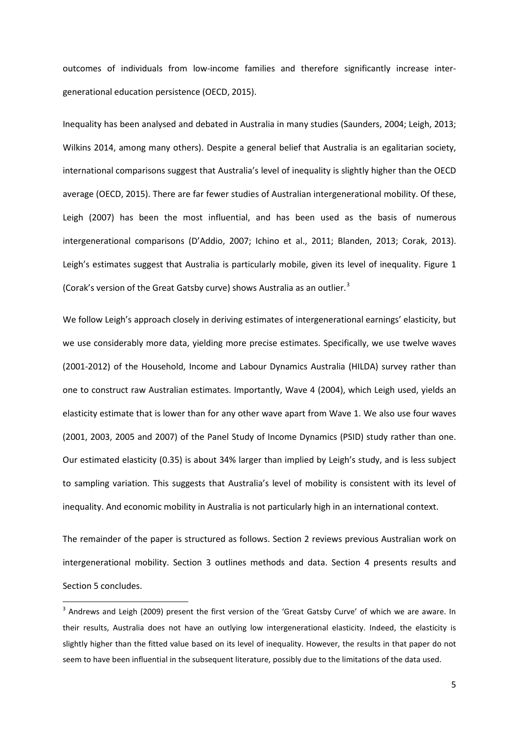outcomes of individuals from low-income families and therefore significantly increase intergenerational education persistence (OECD, 2015).

Inequality has been analysed and debated in Australia in many studies (Saunders, 2004; Leigh, 2013; Wilkins 2014, among many others). Despite a general belief that Australia is an egalitarian society, international comparisons suggest that Australia's level of inequality is slightly higher than the OECD average (OECD, 2015). There are far fewer studies of Australian intergenerational mobility. Of these, Leigh (2007) has been the most influential, and has been used as the basis of numerous intergenerational comparisons (D'Addio, 2007; Ichino et al., 2011; Blanden, 2013; Corak, 2013). Leigh's estimates suggest that Australia is particularly mobile, given its level of inequality. [Figure 1](#page-23-0) (Corak's version of the Great Gatsby curve) shows Australia as an outlier.<sup>[3](#page-5-0)</sup>

We follow Leigh's approach closely in deriving estimates of intergenerational earnings' elasticity, but we use considerably more data, yielding more precise estimates. Specifically, we use twelve waves (2001-2012) of the Household, Income and Labour Dynamics Australia (HILDA) survey rather than one to construct raw Australian estimates. Importantly, Wave 4 (2004), which Leigh used, yields an elasticity estimate that is lower than for any other wave apart from Wave 1. We also use four waves (2001, 2003, 2005 and 2007) of the Panel Study of Income Dynamics (PSID) study rather than one. Our estimated elasticity (0.35) is about 34% larger than implied by Leigh's study, and is less subject to sampling variation. This suggests that Australia's level of mobility is consistent with its level of inequality. And economic mobility in Australia is not particularly high in an international context.

<span id="page-6-0"></span>The remainder of the paper is structured as follows. Section 2 reviews previous Australian work on intergenerational mobility. Section 3 outlines methods and data. Section 4 presents results and Section 5 concludes.

<sup>&</sup>lt;sup>3</sup> Andrews and Leigh (2009) present the first version of the 'Great Gatsby Curve' of which we are aware. In their results, Australia does not have an outlying low intergenerational elasticity. Indeed, the elasticity is slightly higher than the fitted value based on its level of inequality. However, the results in that paper do not seem to have been influential in the subsequent literature, possibly due to the limitations of the data used.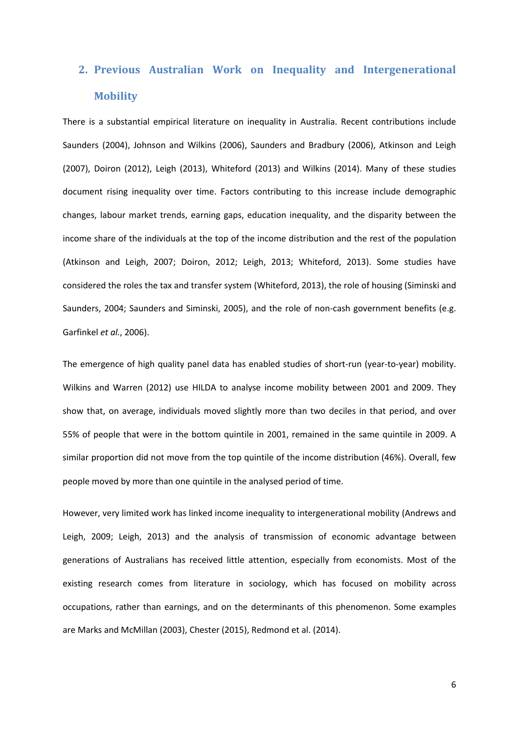# **2. Previous Australian Work on Inequality and Intergenerational Mobility**

There is a substantial empirical literature on inequality in Australia. Recent contributions include Saunders (2004), Johnson and Wilkins (2006), Saunders and Bradbury (2006), Atkinson and Leigh (2007), Doiron (2012), Leigh (2013), Whiteford (2013) and Wilkins (2014). Many of these studies document rising inequality over time. Factors contributing to this increase include demographic changes, labour market trends, earning gaps, education inequality, and the disparity between the income share of the individuals at the top of the income distribution and the rest of the population (Atkinson and Leigh, 2007; Doiron, 2012; Leigh, 2013; Whiteford, 2013). Some studies have considered the roles the tax and transfer system (Whiteford, 2013), the role of housing (Siminski and Saunders, 2004; Saunders and Siminski, 2005), and the role of non-cash government benefits (e.g. Garfinkel *et al.*, 2006).

The emergence of high quality panel data has enabled studies of short-run (year-to-year) mobility. Wilkins and Warren (2012) use HILDA to analyse income mobility between 2001 and 2009. They show that, on average, individuals moved slightly more than two deciles in that period, and over 55% of people that were in the bottom quintile in 2001, remained in the same quintile in 2009. A similar proportion did not move from the top quintile of the income distribution (46%). Overall, few people moved by more than one quintile in the analysed period of time.

However, very limited work has linked income inequality to intergenerational mobility (Andrews and Leigh, 2009; Leigh, 2013) and the analysis of transmission of economic advantage between generations of Australians has received little attention, especially from economists. Most of the existing research comes from literature in sociology, which has focused on mobility across occupations, rather than earnings, and on the determinants of this phenomenon. Some examples are Marks and McMillan (2003), Chester (2015), Redmond et al. (2014).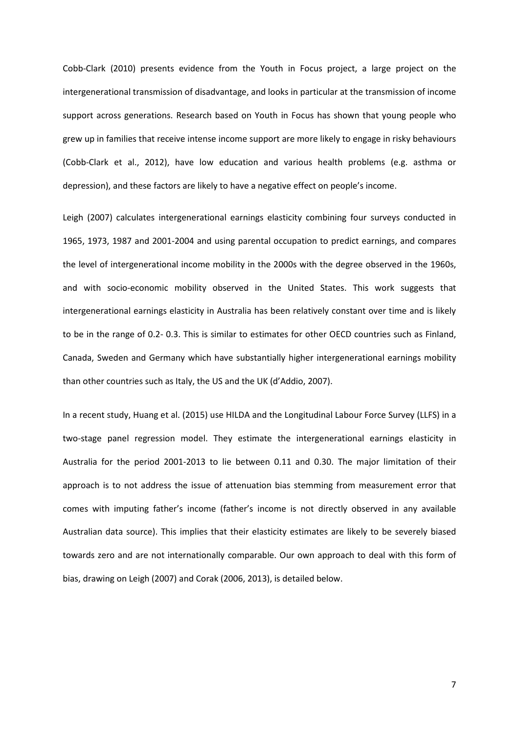Cobb-Clark (2010) presents evidence from the Youth in Focus project, a large project on the intergenerational transmission of disadvantage, and looks in particular at the transmission of income support across generations. Research based on Youth in Focus has shown that young people who grew up in families that receive intense income support are more likely to engage in risky behaviours (Cobb-Clark et al., 2012), have low education and various health problems (e.g. asthma or depression), and these factors are likely to have a negative effect on people's income.

Leigh (2007) calculates intergenerational earnings elasticity combining four surveys conducted in 1965, 1973, 1987 and 2001-2004 and using parental occupation to predict earnings, and compares the level of intergenerational income mobility in the 2000s with the degree observed in the 1960s, and with socio-economic mobility observed in the United States. This work suggests that intergenerational earnings elasticity in Australia has been relatively constant over time and is likely to be in the range of 0.2- 0.3. This is similar to estimates for other OECD countries such as Finland, Canada, Sweden and Germany which have substantially higher intergenerational earnings mobility than other countries such as Italy, the US and the UK (d'Addio, 2007).

In a recent study, Huang et al. (2015) use HILDA and the Longitudinal Labour Force Survey (LLFS) in a two-stage panel regression model. They estimate the intergenerational earnings elasticity in Australia for the period 2001-2013 to lie between 0.11 and 0.30. The major limitation of their approach is to not address the issue of attenuation bias stemming from measurement error that comes with imputing father's income (father's income is not directly observed in any available Australian data source). This implies that their elasticity estimates are likely to be severely biased towards zero and are not internationally comparable. Our own approach to deal with this form of bias, drawing on Leigh (2007) and Corak (2006, 2013), is detailed below.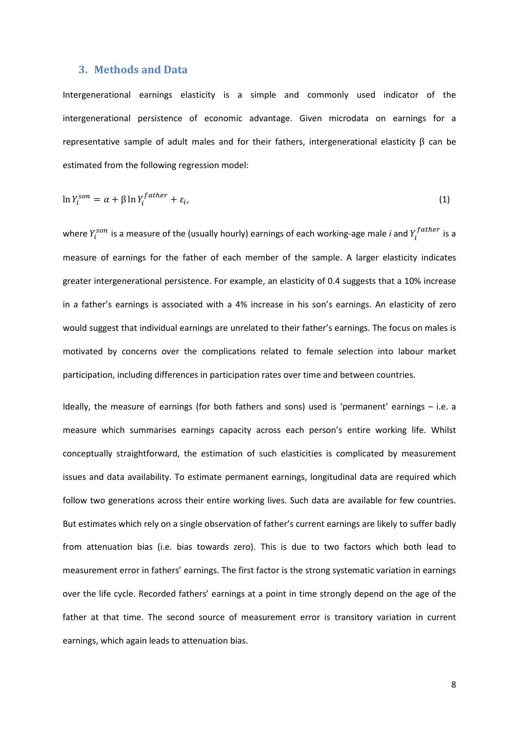#### **3. Methods and Data**

Intergenerational earnings elasticity is a simple and commonly used indicator of the intergenerational persistence of economic advantage. Given microdata on earnings for a representative sample of adult males and for their fathers, intergenerational elasticity  $β$  can be estimated from the following regression model:

$$
\ln Y_i^{son} = \alpha + \beta \ln Y_i^{father} + \varepsilon_i,
$$
\n(1)

where  $Y_i^{son}$  is a measure of the (usually hourly) earnings of each working-age male *i* and  $Y_i^{father}$  is a measure of earnings for the father of each member of the sample. A larger elasticity indicates greater intergenerational persistence. For example, an elasticity of 0.4 suggests that a 10% increase in a father's earnings is associated with a 4% increase in his son's earnings. An elasticity of zero would suggest that individual earnings are unrelated to their father's earnings. The focus on males is motivated by concerns over the complications related to female selection into labour market participation, including differences in participation rates over time and between countries.

Ideally, the measure of earnings (for both fathers and sons) used is 'permanent' earnings – i.e. a measure which summarises earnings capacity across each person's entire working life. Whilst conceptually straightforward, the estimation of such elasticities is complicated by measurement issues and data availability. To estimate permanent earnings, longitudinal data are required which follow two generations across their entire working lives. Such data are available for few countries. But estimates which rely on a single observation of father's current earnings are likely to suffer badly from attenuation bias (i.e. bias towards zero). This is due to two factors which both lead to measurement error in fathers' earnings. The first factor is the strong systematic variation in earnings over the life cycle. Recorded fathers' earnings at a point in time strongly depend on the age of the father at that time. The second source of measurement error is transitory variation in current earnings, which again leads to attenuation bias.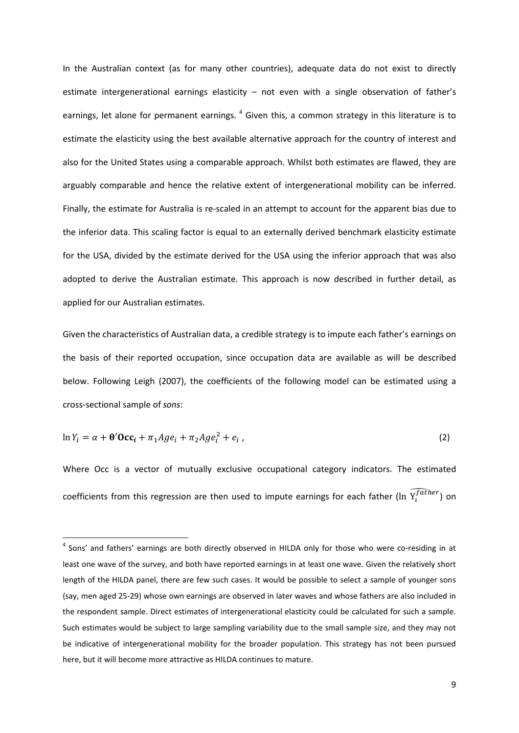In the Australian context (as for many other countries), adequate data do not exist to directly estimate intergenerational earnings elasticity – not even with a single observation of father's earnings, let alone for permanent earnings.<sup>[4](#page-6-0)</sup> Given this, a common strategy in this literature is to estimate the elasticity using the best available alternative approach for the country of interest and also for the United States using a comparable approach. Whilst both estimates are flawed, they are arguably comparable and hence the relative extent of intergenerational mobility can be inferred. Finally, the estimate for Australia is re-scaled in an attempt to account for the apparent bias due to the inferior data. This scaling factor is equal to an externally derived benchmark elasticity estimate for the USA, divided by the estimate derived for the USA using the inferior approach that was also adopted to derive the Australian estimate. This approach is now described in further detail, as applied for our Australian estimates.

Given the characteristics of Australian data, a credible strategy is to impute each father's earnings on the basis of their reported occupation, since occupation data are available as will be described below. Following Leigh (2007), the coefficients of the following model can be estimated using a cross-sectional sample of *sons*:

$$
\ln Y_i = \alpha + \theta' \mathbf{Occ}_i + \pi_1 Age_i + \pi_2 Age_i^2 + e_i ,
$$
\n(2)

<span id="page-10-0"></span>Where Occ is a vector of mutually exclusive occupational category indicators. The estimated coefficients from this regression are then used to impute earnings for each father (ln  $\widetilde{Y}_t^{f\bar{a}ther}$ ) on

<sup>&</sup>lt;sup>4</sup> Sons' and fathers' earnings are both directly observed in HILDA only for those who were co-residing in at least one wave of the survey, and both have reported earnings in at least one wave. Given the relatively short length of the HILDA panel, there are few such cases. It would be possible to select a sample of younger sons (say, men aged 25-29) whose own earnings are observed in later waves and whose fathers are also included in the respondent sample. Direct estimates of intergenerational elasticity could be calculated for such a sample. Such estimates would be subject to large sampling variability due to the small sample size, and they may not be indicative of intergenerational mobility for the broader population. This strategy has not been pursued here, but it will become more attractive as HILDA continues to mature.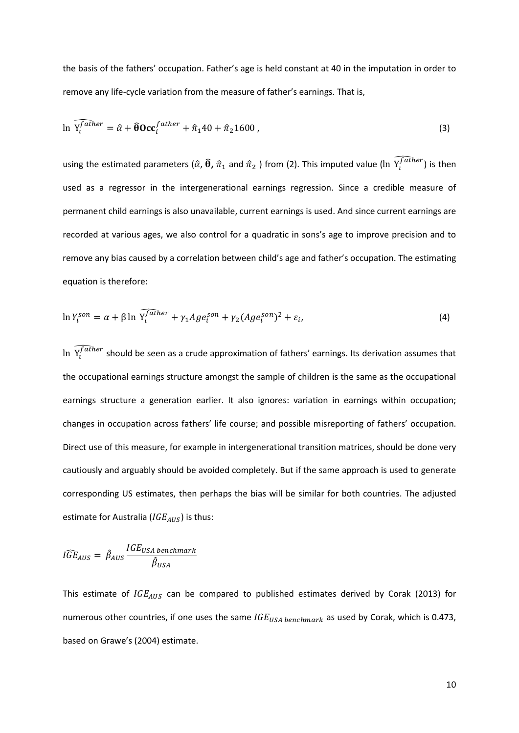the basis of the fathers' occupation. Father's age is held constant at 40 in the imputation in order to remove any life-cycle variation from the measure of father's earnings. That is,

$$
\ln \widehat{Y_i^{father}} = \hat{\alpha} + \widehat{\theta} \text{Occ}_i^{father} + \hat{\pi}_1 40 + \hat{\pi}_2 1600 ,
$$
\n(3)

using the estimated parameters ( $\hat{\alpha}$ ,  $\hat{\theta}$ ,  $\hat{\pi}_1$  and  $\hat{\pi}_2$  ) from (2). This imputed value (ln  $\widetilde{Y}_l^{father}$ ) is then used as a regressor in the intergenerational earnings regression. Since a credible measure of permanent child earnings is also unavailable, current earnings is used. And since current earnings are recorded at various ages, we also control for a quadratic in sons's age to improve precision and to remove any bias caused by a correlation between child's age and father's occupation. The estimating equation is therefore:

$$
\ln Y_i^{son} = \alpha + \beta \ln \widehat{Y_i^{father}} + \gamma_1 Age_i^{son} + \gamma_2 (Age_i^{son})^2 + \varepsilon_i,
$$
\n(4)

In  $\bar{Y}_l^{father}$  should be seen as a crude approximation of fathers' earnings. Its derivation assumes that the occupational earnings structure amongst the sample of children is the same as the occupational earnings structure a generation earlier. It also ignores: variation in earnings within occupation; changes in occupation across fathers' life course; and possible misreporting of fathers' occupation. Direct use of this measure, for example in intergenerational transition matrices, should be done very cautiously and arguably should be avoided completely. But if the same approach is used to generate corresponding US estimates, then perhaps the bias will be similar for both countries. The adjusted estimate for Australia ( $IGE_{AUS}$ ) is thus:

$$
\widehat{IGE}_{AUS} = \widehat{\beta}_{AUS} \frac{IGE_{USA\, benchmark}}{\widehat{\beta}_{USA}}
$$

This estimate of  $IGE_{AUS}$  can be compared to published estimates derived by Corak (2013) for numerous other countries, if one uses the same  $IGE_{USA\ benchmark}$  as used by Corak, which is 0.473, based on Grawe's (2004) estimate.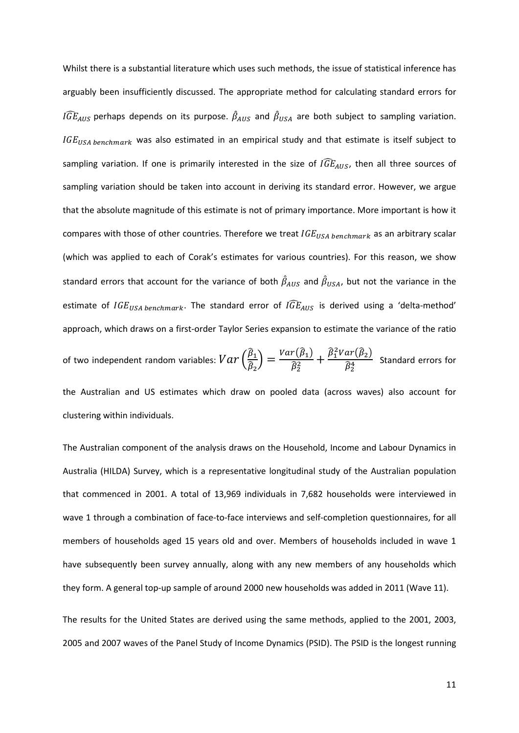Whilst there is a substantial literature which uses such methods, the issue of statistical inference has arguably been insufficiently discussed. The appropriate method for calculating standard errors for  $IGE_{AUS}$  perhaps depends on its purpose.  $\beta_{AUS}$  and  $\beta_{USA}$  are both subject to sampling variation.  $IGE<sub>USA benchmark</sub>$  was also estimated in an empirical study and that estimate is itself subject to sampling variation. If one is primarily interested in the size of  $I\widehat{GE}_{AUS}$ , then all three sources of sampling variation should be taken into account in deriving its standard error. However, we argue that the absolute magnitude of this estimate is not of primary importance. More important is how it compares with those of other countries. Therefore we treat  $IGE_{USA\, benchmark}$  as an arbitrary scalar (which was applied to each of Corak's estimates for various countries). For this reason, we show standard errors that account for the variance of both  $\beta_{AUS}$  and  $\beta_{USA}$ , but not the variance in the estimate of  $IGE_{USA\, benchmark}$ . The standard error of  $IGE_{AUS}$  is derived using a 'delta-method' approach, which draws on a first-order Taylor Series expansion to estimate the variance of the ratio

of two independent random variables:  $Var\left(\frac{\hat{\beta}_1}{\hat{\beta}_2}\right)$  $\left(\frac{\widehat{\beta}_1}{\widehat{\beta}_2}\right) = \frac{Var(\widehat{\beta}_1)}{\widehat{\beta}_2^2} + \frac{\widehat{\beta}_1^2 Var(\widehat{\beta}_2)}{\widehat{\beta}_2^4}$  $\frac{\overline{a} + \overline{b} + \overline{c}}{\widehat{b}_2^4}$  Standard errors for the Australian and US estimates which draw on pooled data (across waves) also account for clustering within individuals.

The Australian component of the analysis draws on the Household, Income and Labour Dynamics in Australia (HILDA) Survey, which is a representative longitudinal study of the Australian population that commenced in 2001. A total of 13,969 individuals in 7,682 households were interviewed in wave 1 through a combination of face-to-face interviews and self-completion questionnaires, for all members of households aged 15 years old and over. Members of households included in wave 1 have subsequently been survey annually, along with any new members of any households which they form. A general top-up sample of around 2000 new households was added in 2011 (Wave 11).

The results for the United States are derived using the same methods, applied to the 2001, 2003, 2005 and 2007 waves of the Panel Study of Income Dynamics (PSID). The PSID is the longest running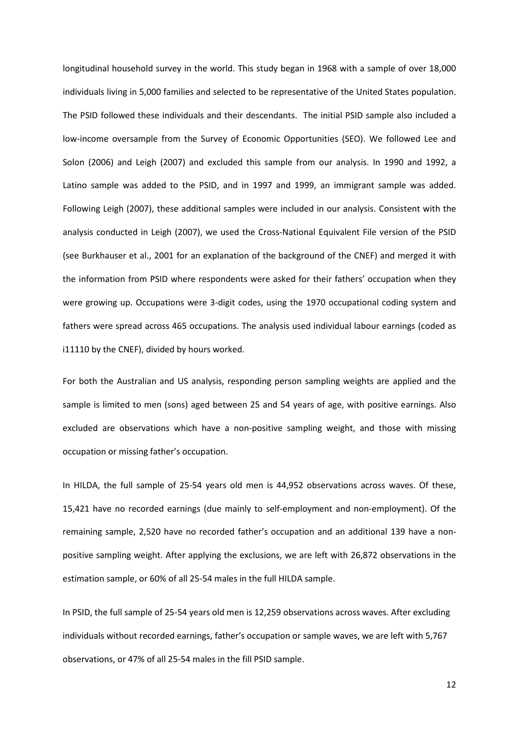longitudinal household survey in the world. This study began in 1968 with a sample of over 18,000 individuals living in 5,000 families and selected to be representative of the United States population. The PSID followed these individuals and their descendants. The initial PSID sample also included a low-income oversample from the Survey of Economic Opportunities (SEO). We followed Lee and Solon (2006) and Leigh (2007) and excluded this sample from our analysis. In 1990 and 1992, a Latino sample was added to the PSID, and in 1997 and 1999, an immigrant sample was added. Following Leigh (2007), these additional samples were included in our analysis. Consistent with the analysis conducted in Leigh (2007), we used the Cross-National Equivalent File version of the PSID (see Burkhauser et al., 2001 for an explanation of the background of the CNEF) and merged it with the information from PSID where respondents were asked for their fathers' occupation when they were growing up. Occupations were 3-digit codes, using the 1970 occupational coding system and fathers were spread across 465 occupations. The analysis used individual labour earnings (coded as i11110 by the CNEF), divided by hours worked.

For both the Australian and US analysis, responding person sampling weights are applied and the sample is limited to men (sons) aged between 25 and 54 years of age, with positive earnings. Also excluded are observations which have a non-positive sampling weight, and those with missing occupation or missing father's occupation.

In HILDA, the full sample of 25-54 years old men is 44,952 observations across waves. Of these, 15,421 have no recorded earnings (due mainly to self-employment and non-employment). Of the remaining sample, 2,520 have no recorded father's occupation and an additional 139 have a nonpositive sampling weight. After applying the exclusions, we are left with 26,872 observations in the estimation sample, or 60% of all 25-54 males in the full HILDA sample.

In PSID, the full sample of 25-54 years old men is 12,259 observations across waves. After excluding individuals without recorded earnings, father's occupation or sample waves, we are left with 5,767 observations, or 47% of all 25-54 males in the fill PSID sample.

12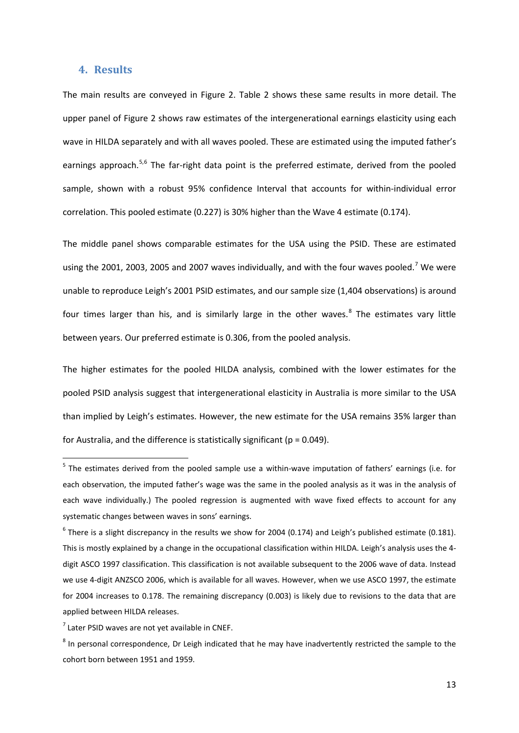#### **4. Results**

The main results are conveyed in [Figure 2.](#page-24-0) [Table 2](#page-22-0) shows these same results in more detail. The upper panel of [Figure 2](#page-24-0) shows raw estimates of the intergenerational earnings elasticity using each wave in HILDA separately and with all waves pooled. These are estimated using the imputed father's earnings approach.<sup>[5](#page-10-0),[6](#page-14-0)</sup> The far-right data point is the preferred estimate, derived from the pooled sample, shown with a robust 95% confidence Interval that accounts for within-individual error correlation. This pooled estimate (0.227) is 30% higher than the Wave 4 estimate (0.174).

The middle panel shows comparable estimates for the USA using the PSID. These are estimated using the 2001, 2003, 2005 and 200[7](#page-14-1) waves individually, and with the four waves pooled.<sup>7</sup> We were unable to reproduce Leigh's 2001 PSID estimates, and our sample size (1,404 observations) is around four times larger than his, and is similarly large in the other waves. $8$  The estimates vary little between years. Our preferred estimate is 0.306, from the pooled analysis.

The higher estimates for the pooled HILDA analysis, combined with the lower estimates for the pooled PSID analysis suggest that intergenerational elasticity in Australia is more similar to the USA than implied by Leigh's estimates. However, the new estimate for the USA remains 35% larger than for Australia, and the difference is statistically significant ( $p = 0.049$ ).

<sup>&</sup>lt;sup>5</sup> The estimates derived from the pooled sample use a within-wave imputation of fathers' earnings (i.e. for each observation, the imputed father's wage was the same in the pooled analysis as it was in the analysis of each wave individually.) The pooled regression is augmented with wave fixed effects to account for any systematic changes between waves in sons' earnings.

<span id="page-14-0"></span> $6$  There is a slight discrepancy in the results we show for 2004 (0.174) and Leigh's published estimate (0.181). This is mostly explained by a change in the occupational classification within HILDA. Leigh's analysis uses the 4 digit ASCO 1997 classification. This classification is not available subsequent to the 2006 wave of data. Instead we use 4-digit ANZSCO 2006, which is available for all waves. However, when we use ASCO 1997, the estimate for 2004 increases to 0.178. The remaining discrepancy (0.003) is likely due to revisions to the data that are applied between HILDA releases.

<span id="page-14-1"></span> $<sup>7</sup>$  Later PSID waves are not vet available in CNEF.</sup>

<span id="page-14-2"></span> $8$  In personal correspondence, Dr Leigh indicated that he may have inadvertently restricted the sample to the cohort born between 1951 and 1959.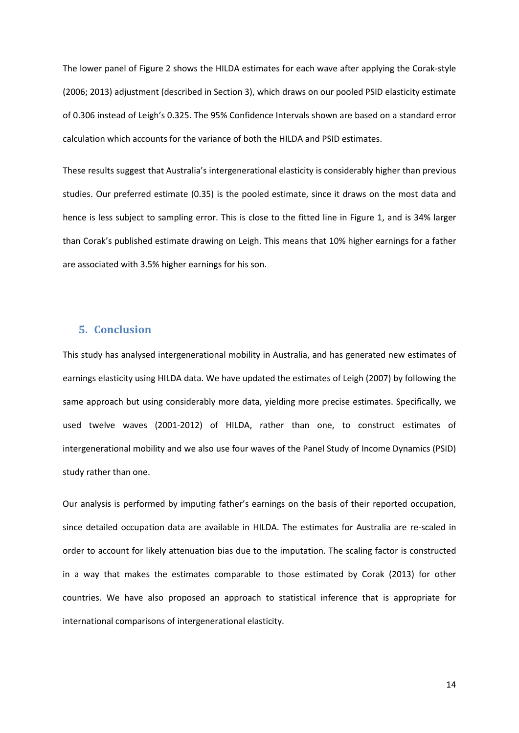The lower panel of [Figure 2](#page-24-0) shows the HILDA estimates for each wave after applying the Corak-style (2006; 2013) adjustment (described in Section 3), which draws on our pooled PSID elasticity estimate of 0.306 instead of Leigh's 0.325. The 95% Confidence Intervals shown are based on a standard error calculation which accounts for the variance of both the HILDA and PSID estimates.

These results suggest that Australia's intergenerational elasticity is considerably higher than previous studies. Our preferred estimate (0.35) is the pooled estimate, since it draws on the most data and hence is less subject to sampling error. This is close to the fitted line in Figure 1, and is 34% larger than Corak's published estimate drawing on Leigh. This means that 10% higher earnings for a father are associated with 3.5% higher earnings for his son.

#### **5. Conclusion**

This study has analysed intergenerational mobility in Australia, and has generated new estimates of earnings elasticity using HILDA data. We have updated the estimates of Leigh (2007) by following the same approach but using considerably more data, yielding more precise estimates. Specifically, we used twelve waves (2001-2012) of HILDA, rather than one, to construct estimates of intergenerational mobility and we also use four waves of the Panel Study of Income Dynamics (PSID) study rather than one.

Our analysis is performed by imputing father's earnings on the basis of their reported occupation, since detailed occupation data are available in HILDA. The estimates for Australia are re-scaled in order to account for likely attenuation bias due to the imputation. The scaling factor is constructed in a way that makes the estimates comparable to those estimated by Corak (2013) for other countries. We have also proposed an approach to statistical inference that is appropriate for international comparisons of intergenerational elasticity.

14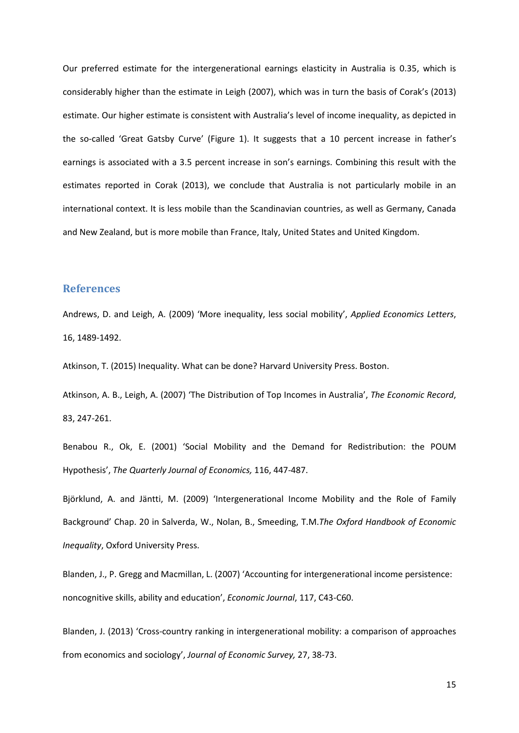Our preferred estimate for the intergenerational earnings elasticity in Australia is 0.35, which is considerably higher than the estimate in Leigh (2007), which was in turn the basis of Corak's (2013) estimate. Our higher estimate is consistent with Australia's level of income inequality, as depicted in the so-called 'Great Gatsby Curve' (Figure 1). It suggests that a 10 percent increase in father's earnings is associated with a 3.5 percent increase in son's earnings. Combining this result with the estimates reported in Corak (2013), we conclude that Australia is not particularly mobile in an international context. It is less mobile than the Scandinavian countries, as well as Germany, Canada and New Zealand, but is more mobile than France, Italy, United States and United Kingdom.

#### **References**

Andrews, D. and Leigh, A. (2009) 'More inequality, less social mobility', *Applied Economics Letters*, 16, 1489-1492.

Atkinson, T. (2015) Inequality. What can be done? Harvard University Press. Boston.

Atkinson, A. B., Leigh, A. (2007) 'The Distribution of Top Incomes in Australia', *The Economic Record*, 83, 247-261.

Benabou R., Ok, E. (2001) 'Social Mobility and the Demand for Redistribution: the POUM Hypothesis', *The Quarterly Journal of Economics,* 116, 447-487.

Björklund, A. and Jäntti, M. (2009) 'Intergenerational Income Mobility and the Role of Family Background' Chap. 20 in Salverda, W., Nolan, B., Smeeding, T.M.*The Oxford Handbook of Economic Inequality*, Oxford University Press.

Blanden, J., P. Gregg and Macmillan, L. (2007) 'Accounting for intergenerational income persistence: noncognitive skills, ability and education', *Economic Journal*, 117, C43-C60.

Blanden, J. (2013) 'Cross-country ranking in intergenerational mobility: a comparison of approaches from economics and sociology', *Journal of Economic Survey,* 27, 38-73.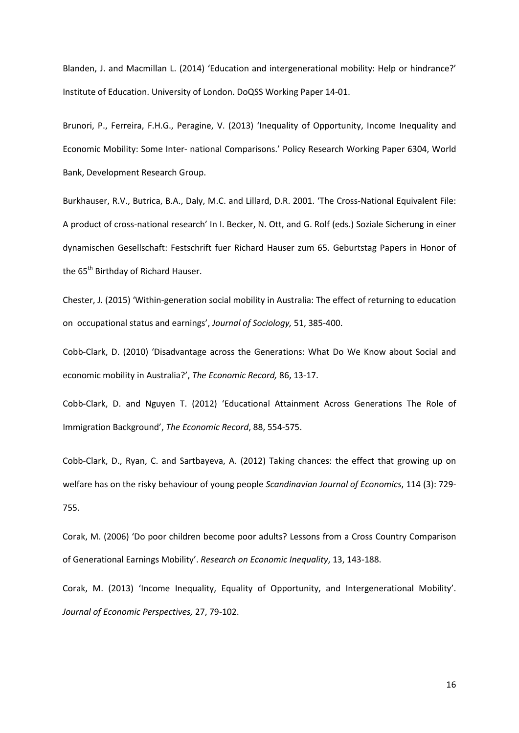Blanden, J. and Macmillan L. (2014) 'Education and intergenerational mobility: Help or hindrance?' Institute of Education. University of London. DoQSS Working Paper 14-01.

Brunori, P., Ferreira, F.H.G., Peragine, V. (2013) 'Inequality of Opportunity, Income Inequality and Economic Mobility: Some Inter- national Comparisons.' Policy Research Working Paper 6304, World Bank, Development Research Group.

Burkhauser, R.V., Butrica, B.A., Daly, M.C. and Lillard, D.R. 2001. 'The Cross-National Equivalent File: A product of cross-national research' In I. Becker, N. Ott, and G. Rolf (eds.) Soziale Sicherung in einer dynamischen Gesellschaft: Festschrift fuer Richard Hauser zum 65. Geburtstag Papers in Honor of the 65<sup>th</sup> Birthday of Richard Hauser.

Chester, J. (2015) 'Within-generation social mobility in Australia: The effect of returning to education on occupational status and earnings', *Journal of Sociology,* 51, 385-400.

Cobb-Clark, D. (2010) 'Disadvantage across the Generations: What Do We Know about Social and economic mobility in Australia?', *The Economic Record,* 86, 13-17.

Cobb-Clark, D. and Nguyen T. (2012) 'Educational Attainment Across Generations The Role of Immigration Background', *The Economic Record*, 88, 554-575.

Cobb-Clark, D., Ryan, C. and Sartbayeva, A. (2012) Taking chances: the effect that growing up on welfare has on the risky behaviour of young people *Scandinavian Journal of Economics*, 114 (3): 729- 755.

Corak, M. (2006) 'Do poor children become poor adults? Lessons from a Cross Country Comparison of Generational Earnings Mobility'. *Research on Economic Inequality*, 13, 143-188.

Corak, M. (2013) 'Income Inequality, Equality of Opportunity, and Intergenerational Mobility'. *Journal of Economic Perspectives,* 27, 79-102.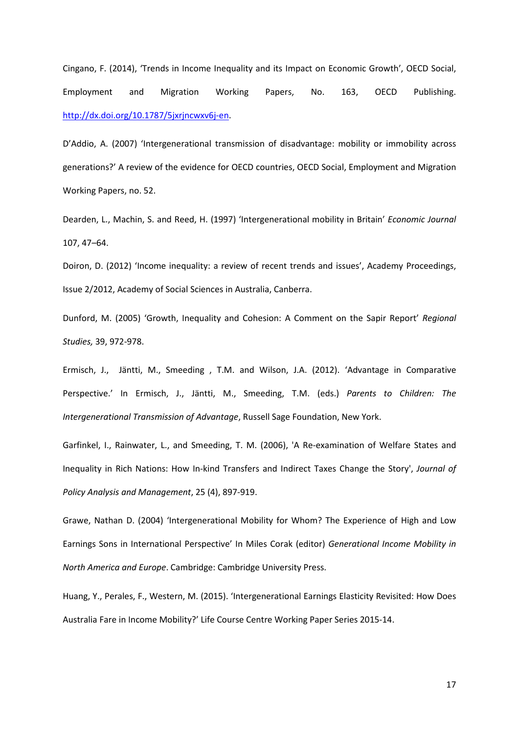Cingano, F. (2014), 'Trends in Income Inequality and its Impact on Economic Growth', OECD Social, Employment and Migration Working Papers, No. 163, OECD Publishing. [http://dx.doi.org/10.1787/5jxrjncwxv6j-en.](http://dx.doi.org/10.1787/5jxrjncwxv6j-en)

D'Addio, A. (2007) 'Intergenerational transmission of disadvantage: mobility or immobility across generations?' A review of the evidence for OECD countries, OECD Social, Employment and Migration Working Papers, no. 52.

Dearden, L., Machin, S. and Reed, H. (1997) 'Intergenerational mobility in Britain' *Economic Journal* 107, 47–64.

Doiron, D. (2012) 'Income inequality: a review of recent trends and issues', Academy Proceedings, Issue 2/2012, Academy of Social Sciences in Australia, Canberra.

Dunford, M. (2005) 'Growth, Inequality and Cohesion: A Comment on the Sapir Report' *Regional Studies,* 39, 972-978.

Ermisch, J., Jäntti, M., Smeeding , T.M. and Wilson, J.A. (2012). 'Advantage in Comparative Perspective.' In Ermisch, J., Jäntti, M., Smeeding, T.M. (eds.) *Parents to Children: The Intergenerational Transmission of Advantage*, Russell Sage Foundation, New York.

Garfinkel, I., Rainwater, L., and Smeeding, T. M. (2006), 'A Re-examination of Welfare States and Inequality in Rich Nations: How In-kind Transfers and Indirect Taxes Change the Story', *Journal of Policy Analysis and Management*, 25 (4), 897-919.

Grawe, Nathan D. (2004) 'Intergenerational Mobility for Whom? The Experience of High and Low Earnings Sons in International Perspective' In Miles Corak (editor) *Generational Income Mobility in North America and Europe*. Cambridge: Cambridge University Press.

Huang, Y., Perales, F., Western, M. (2015). 'Intergenerational Earnings Elasticity Revisited: How Does Australia Fare in Income Mobility?' Life Course Centre Working Paper Series 2015-14.

17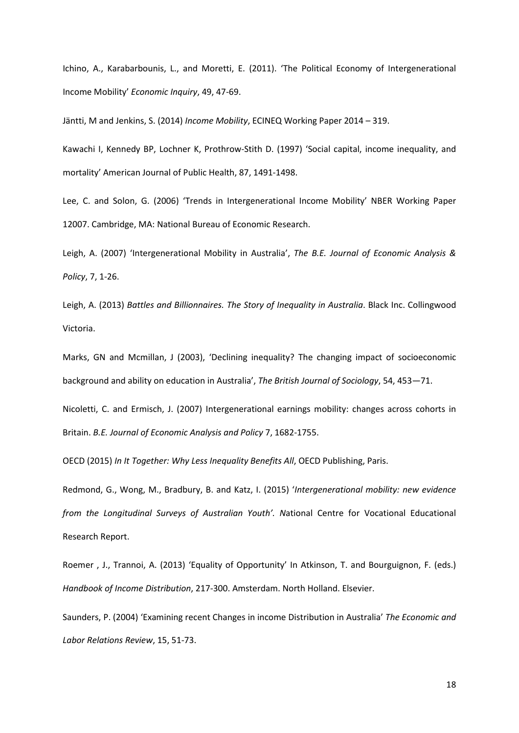Ichino, A., Karabarbounis, L., and Moretti, E. (2011). 'The Political Economy of Intergenerational Income Mobility' *Economic Inquiry*, 49, 47-69.

Jäntti, M and Jenkins, S. (2014) *Income Mobility*, ECINEQ Working Paper 2014 – 319.

Kawachi I, Kennedy BP, Lochner K, Prothrow-Stith D. (1997) 'Social capital, income inequality, and mortality' American Journal of Public Health, 87, 1491-1498.

Lee, C. and Solon, G. (2006) 'Trends in Intergenerational Income Mobility' NBER Working Paper 12007. Cambridge, MA: National Bureau of Economic Research.

Leigh, A. (2007) 'Intergenerational Mobility in Australia', *The B.E. Journal of Economic Analysis & Policy*, 7, 1-26.

Leigh, A. (2013) *Battles and Billionnaires. The Story of Inequality in Australia*. Black Inc. Collingwood Victoria.

Marks, GN and Mcmillan, J (2003), 'Declining inequality? The changing impact of socioeconomic background and ability on education in Australia', *The British Journal of Sociology*, 54, 453—71.

Nicoletti, C. and Ermisch, J. (2007) Intergenerational earnings mobility: changes across cohorts in Britain. *B.E. Journal of Economic Analysis and Policy* 7, 1682-1755.

OECD (2015) *In It Together: Why Less Inequality Benefits All*, OECD Publishing, Paris.

Redmond, G., Wong, M., Bradbury, B. and Katz, I. (2015) '*Intergenerational mobility: new evidence from the Longitudinal Surveys of Australian Youth'. N*ational Centre for Vocational Educational Research Report.

Roemer , J., Trannoi, A. (2013) 'Equality of Opportunity' In Atkinson, T. and Bourguignon, F. (eds.) *Handbook of Income Distribution*, 217-300. Amsterdam. North Holland. Elsevier.

Saunders, P. (2004) 'Examining recent Changes in income Distribution in Australia' *The Economic and Labor Relations Review*, 15, 51-73.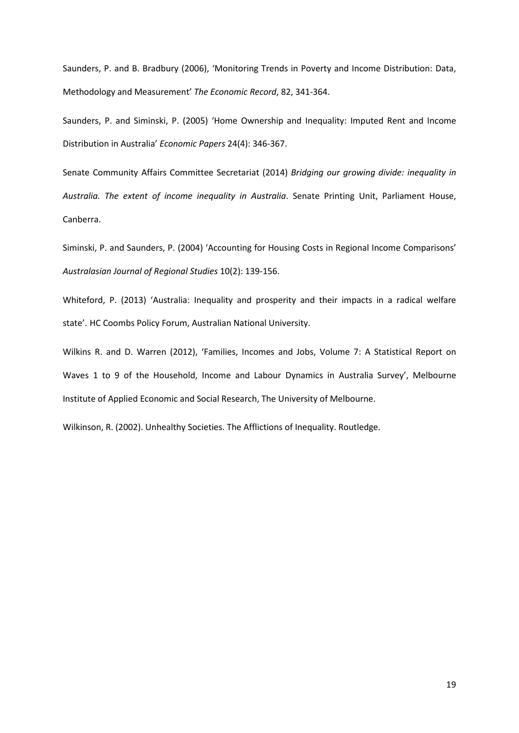Saunders, P. and B. Bradbury (2006), 'Monitoring Trends in Poverty and Income Distribution: Data, Methodology and Measurement' *The Economic Record*, 82, 341-364.

Saunders, P. and Siminski, P. (2005) 'Home Ownership and Inequality: Imputed Rent and Income Distribution in Australia' *Economic Papers* 24(4): 346-367.

Senate Community Affairs Committee Secretariat (2014) *Bridging our growing divide: inequality in Australia. The extent of income inequality in Australia*. Senate Printing Unit, Parliament House, Canberra.

Siminski, P. and Saunders, P. (2004) 'Accounting for Housing Costs in Regional Income Comparisons' *Australasian Journal of Regional Studies* 10(2): 139-156.

Whiteford, P. (2013) 'Australia: Inequality and prosperity and their impacts in a radical welfare state'. HC Coombs Policy Forum, Australian National University.

Wilkins R. and D. Warren (2012), 'Families, Incomes and Jobs, Volume 7: A Statistical Report on Waves 1 to 9 of the Household, Income and Labour Dynamics in Australia Survey', Melbourne Institute of Applied Economic and Social Research, The University of Melbourne.

Wilkinson, R. (2002). Unhealthy Societies. The Afflictions of Inequality. Routledge.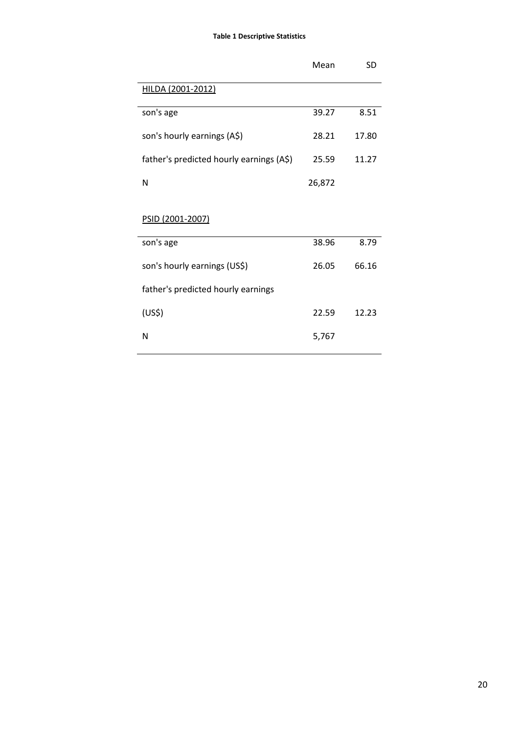#### **Table 1 Descriptive Statistics**

|                                          | Mean   | SD    |
|------------------------------------------|--------|-------|
| HILDA (2001-2012)                        |        |       |
| son's age                                | 39.27  | 8.51  |
| son's hourly earnings (A\$)              | 28.21  | 17.80 |
| father's predicted hourly earnings (A\$) | 25.59  | 11.27 |
| N                                        | 26,872 |       |

#### PSID (2001-2007)

| son's age                          | 38.96 | 8.79  |
|------------------------------------|-------|-------|
| son's hourly earnings (US\$)       | 26.05 | 66.16 |
| father's predicted hourly earnings |       |       |
| (US <sup>2</sup> )                 | 22.59 | 12.23 |
| N                                  | 5,767 |       |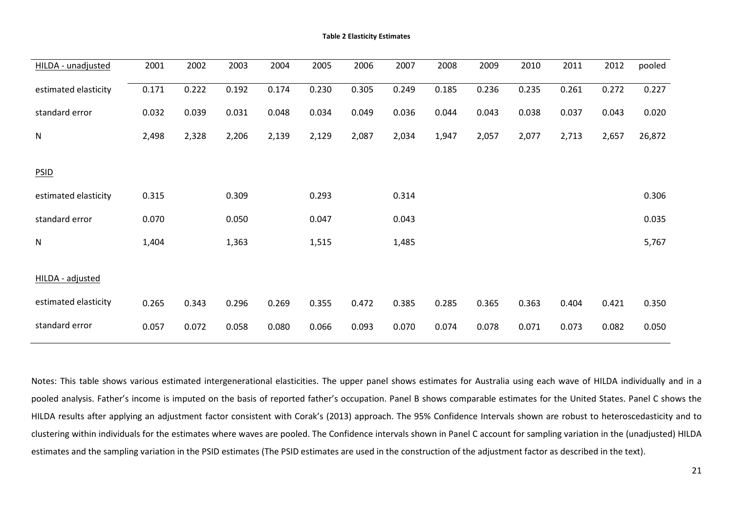| HILDA - unadjusted   | 2001  | 2002  | 2003  | 2004  | 2005  | 2006  | 2007  | 2008  | 2009  | 2010  | 2011  | 2012  | pooled |
|----------------------|-------|-------|-------|-------|-------|-------|-------|-------|-------|-------|-------|-------|--------|
| estimated elasticity | 0.171 | 0.222 | 0.192 | 0.174 | 0.230 | 0.305 | 0.249 | 0.185 | 0.236 | 0.235 | 0.261 | 0.272 | 0.227  |
| standard error       | 0.032 | 0.039 | 0.031 | 0.048 | 0.034 | 0.049 | 0.036 | 0.044 | 0.043 | 0.038 | 0.037 | 0.043 | 0.020  |
| ${\sf N}$            | 2,498 | 2,328 | 2,206 | 2,139 | 2,129 | 2,087 | 2,034 | 1,947 | 2,057 | 2,077 | 2,713 | 2,657 | 26,872 |
|                      |       |       |       |       |       |       |       |       |       |       |       |       |        |
| <b>PSID</b>          |       |       |       |       |       |       |       |       |       |       |       |       |        |
| estimated elasticity | 0.315 |       | 0.309 |       | 0.293 |       | 0.314 |       |       |       |       |       | 0.306  |
| standard error       | 0.070 |       | 0.050 |       | 0.047 |       | 0.043 |       |       |       |       |       | 0.035  |
| ${\sf N}$            | 1,404 |       | 1,363 |       | 1,515 |       | 1,485 |       |       |       |       |       | 5,767  |
|                      |       |       |       |       |       |       |       |       |       |       |       |       |        |
| HILDA - adjusted     |       |       |       |       |       |       |       |       |       |       |       |       |        |
| estimated elasticity | 0.265 | 0.343 | 0.296 | 0.269 | 0.355 | 0.472 | 0.385 | 0.285 | 0.365 | 0.363 | 0.404 | 0.421 | 0.350  |
| standard error       | 0.057 | 0.072 | 0.058 | 0.080 | 0.066 | 0.093 | 0.070 | 0.074 | 0.078 | 0.071 | 0.073 | 0.082 | 0.050  |

<span id="page-22-0"></span>Notes: This table shows various estimated intergenerational elasticities. The upper panel shows estimates for Australia using each wave of HILDA individually and in a pooled analysis. Father's income is imputed on the basis of reported father's occupation. Panel B shows comparable estimates for the United States. Panel C shows the HILDA results after applying an adjustment factor consistent with Corak's (2013) approach. The 95% Confidence Intervals shown are robust to heteroscedasticity and to clustering within individuals for the estimates where waves are pooled. The Confidence intervals shown in Panel C account for sampling variation in the (unadjusted) HILDA estimates and the sampling variation in the PSID estimates (The PSID estimates are used in the construction of the adjustment factor as described in the text).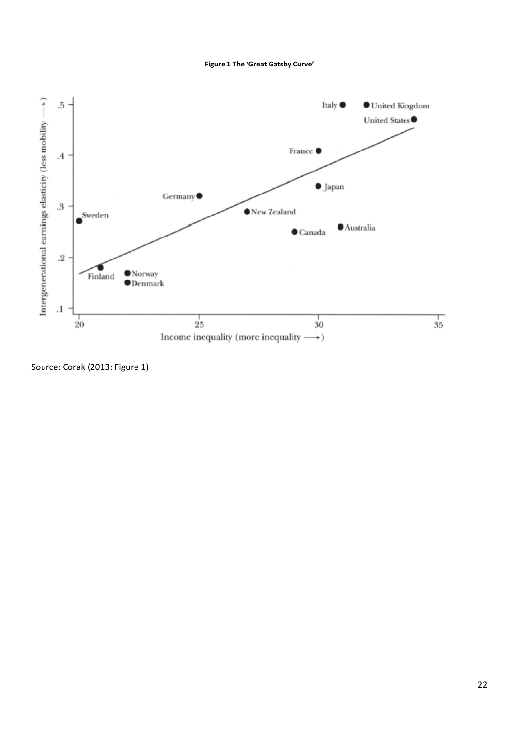<span id="page-23-0"></span>

Source: Corak (2013: Figure 1)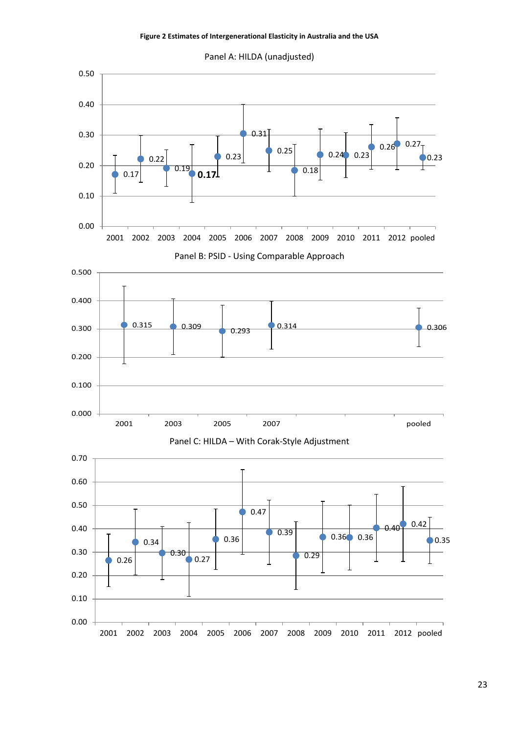#### **Figure 2 Estimates of Intergenerational Elasticity in Australia and the USA**

<span id="page-24-0"></span>

Panel A: HILDA (unadjusted)